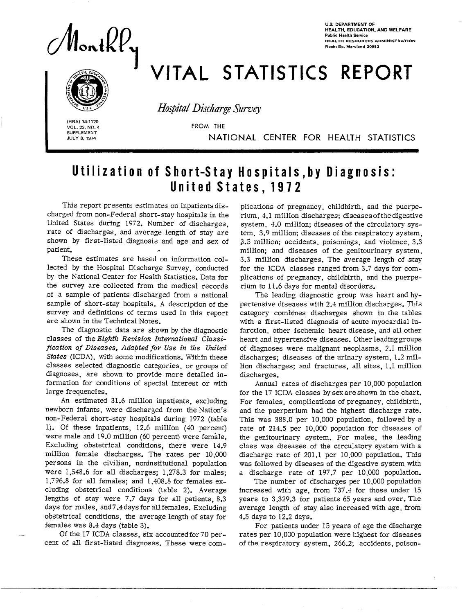onth $V_\mathrm{y}$ 

U.S. DEPARTMENT OF HEALTH, EOUCATION. AND WELFARE Public Health Sewice HEALTH RESOURCES ADMINISTRATI Rockville, Maryland 20852

# VITAL STATISTICS REPORT



**Hospital Discharge Survey** 

HRAI 74-1120<br>
VOL. 23, NO.<br>
SUPPLEMENT<br>
JULY 8, 1974 VOL. 23, NO. 4 VOL. 23, NO. 4 FROM THE SUPPLEMENT **JULY 8, 1974** 

I

**.** 

NATIONAL CENTER FOR HEALTH STATISTICS

## Utilization of Short-Stay Hospitals, by Diagnosis: United States, 1972

This report presents estimates on inpatients discharged from non-Federal short-stay hospitals in the United States during 1972. Number of discharges, rate of discharges, and average length of stay are shown by first-listed diagnosis and age and sex of patient.

These estimates are based on information collected by the Hospital Discharge Survey, conducted by the National Center for Health Statistics. Data for the survey are collected from the medical records of a sample of patients discharged from a national sample of short-stay hospitals. A description of the survey and definitions of terms used in this report are shown in the Technical Notes.

The diagnostic data are shown by the diagnostic classes of the *Eighth Revision International Classification of Diseases, Adapted fov Use in the United States* (ICDA), with some modifications. Within these classes selected diagnostic categories, or groups of diagnoses, are shown to provide more detailed information for conditions of special interest or with large frequencies.

An estimated 31.6 million inpatients, excluding newborn infants, were discharged from the Nation's non-Federal short-stay hospitals during 1972 (table 1). Of these inpatients, 12.6 million (40 percent) were male and 19.0 million (60 percent) were female. Excluding obstetrical conditions, there were 14.9 milIion female discharges. The rates per 10,000 persons in the civilian, noninstitutional population were 1,548.6 for all discharges; 1,278.3 for males; 1,796.8 for all females; and 1,408.8 for females excluding obstetrical conditions (table 2). Average lengths of stay were 7.7 days for all patients, 8.3 days for males, and 7.4 days for all females. Excluding obstetrical conditions, the average length of stay for females was 8.4 days (table 3).

Of the 17 ICDA classes, six accounted for 70 percent of all first-listed diagnoses. These were com -

plications of pregnancy, childbirth, and the puerperium, 4.1 million discharges; diseases of the digestive system, 4.0 million; diseases of the circulatory system, 3.9 million; diseases of the respiratory system, 3.5 million; accidents, poisonings, and violence, 3.3 million; and diseases of the genitourinary system, 3.3 million discharges. The average length of stay for the ICDA classes ranged from 3.7 days for complications of pregnancy, childbirth, and the puerperium to 11.6 days for mental disorders.

The leading diagnostic group was heart and hypertensive diseases with 2.4 million discharges. This category combines discharges shown in the tables with a first-listed diagnosis of acute myocardial infarction, other ischemic heart disease, and all other heart and hypertensive diseases. Other leading groups of diagnoses were malignant neoplasms, 2.1 million discharges; diseases of the urinary system, 1.2 million discharges; and fractures, all sites, 1.1 million discharges.

Annual rates of discharges per 10,000 population for the 17 ICDA classes by sex are shown in the chart. For females, complications of pregnancy, childbirth, and the puerperium had the highest discharge rate. This was 388.0 per 10,000 population, followed by a rate of 214.5 per 10,000 population for diseases of the genitourinary system. For males, the leading class was diseases of the circulatory system with a discharge rate of 201.1 per 10,000 population. This was followed by diseases of the digestive system with a discharge rate of 197.7 per 10,000 population.

The number of discharges per 10,000 population increased with age, from  $737.4$  for those under  $15$ years to 3,329.3 for patients 65 years and over. The average length of stay also increased with age, from 4.5 days to 12.2 days.

For patients under 15 years of age the discharge rates per 10,000 population were highest for diseases of the respiratory system, 266.2; accidents, poison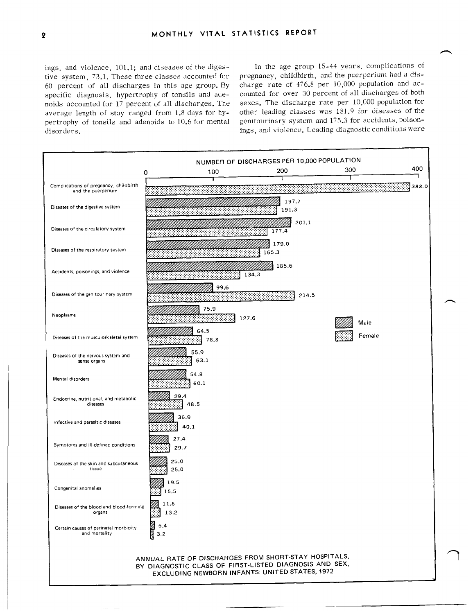ings, and violence, 101.1; and diseases of the digestive system, 73.1. These three classes accounted for 60 percent of all discharges in this age group. By specific diagnosis, hypertrophy of tonsils and adenoids accounted for 17 percent of all discharges. The average length of stay ranged from 1.8 days for hypertrophy of tonsils and adenoids to 10.6 for mental disorders.

In the age group 15-44 years, complications of pregnancy, childbirth, and the puerperium had a discharge rate of 476.8 per 10,000 population and accounted for over 30 percent of all discharges of both sexes. The discharge rate per 10,000 population for other leading classes was 181.9 for diseases of the genitourinary system and 175.3 for accidents, poisonings, and violence. Leading diagnostic conditions were

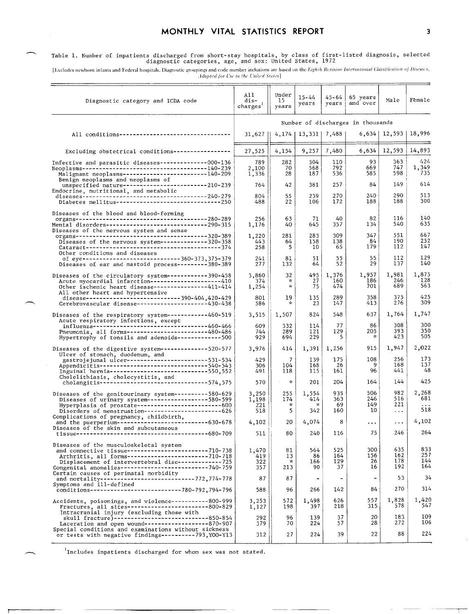#### MONTHLY VITAL STATISTICS REPORT

Table 1. Number of inpatients discharged from short-stay hospitals, by class of first-listed diagnosis, selected<br>diagnostic categories, age, and sex: United States, 1972

[Excludes newborn infants and Federal hospitals. Diagnostic groupings and code number inclusions are based on the Eighth Revision International Classification of Discuses, Adapted for Use in the United States]

| Diagnostic category and ICDA code                                                                                                                                                                                                                                                                                                                                       | All<br>dis-<br>charges            | Under<br>15<br>years            | $15 - 44$<br>years                       | 45-64<br>years               | 65 years<br>and over                               | Male                           | Female                         |  |
|-------------------------------------------------------------------------------------------------------------------------------------------------------------------------------------------------------------------------------------------------------------------------------------------------------------------------------------------------------------------------|-----------------------------------|---------------------------------|------------------------------------------|------------------------------|----------------------------------------------------|--------------------------------|--------------------------------|--|
|                                                                                                                                                                                                                                                                                                                                                                         | Number of discharges in thousands |                                 |                                          |                              |                                                    |                                |                                |  |
| All conditions---------------------------------                                                                                                                                                                                                                                                                                                                         | 31,627                            |                                 | 4, 174   13, 331   7, 488                |                              |                                                    | $6,634$   12,593               | 18,996                         |  |
| Excluding obstetrical conditions-----------------                                                                                                                                                                                                                                                                                                                       | 27,525                            | 4,154                           | 9,257                                    | 7,480                        | 6,634                                              | 12,593                         | 14,893                         |  |
| Infective and parasitic diseases---------------000-136<br>Benign neoplasms and neoplasms of<br>unspecified nature---------------------------210-239                                                                                                                                                                                                                     | 789<br>2,100<br>1,336<br>764      | 282<br>70<br>28<br>42           | 304<br>568<br>187<br>381                 | 110<br>792<br>536<br>257     | 93<br>669<br>585<br>84                             | 363<br>747<br>598<br>149       | 424<br>1,349<br>735<br>614     |  |
| Endocrine, nutritional, and metabolic                                                                                                                                                                                                                                                                                                                                   | 804<br>488                        | 55<br>22                        | 239<br>106                               | 270<br>172                   | 240<br>188                                         | 290<br>188                     | 513<br>300                     |  |
| Diseases of the blood and blood-forming<br>Mental disorders------------------------------290-315<br>Diseases of the nervous system and sense                                                                                                                                                                                                                            | 256<br>1,176<br>1,220             | 63<br>40<br>281                 | 71<br>645<br>283                         | 40<br>357<br>309             | 82<br>134<br>347                                   | 116<br>540<br>551              | 140<br>635<br>667              |  |
| Other conditions and diseases                                                                                                                                                                                                                                                                                                                                           | 443<br>258                        | 64<br>5                         | 158<br>10                                | 138<br>65                    | 84<br>179                                          | 190<br>112                     | 252<br>147                     |  |
| of eye-----------------------------360-373,375-379<br>Diseases of ear and mastoid process---------380-389                                                                                                                                                                                                                                                               | 241<br>277                        | 81<br>132                       | 51<br>64                                 | 55<br>52                     | 55<br>29                                           | 112<br>137                     | 129<br>140                     |  |
| Diseases of the circulatory system------------390-458<br>Acute myocardial infarction----------------------410<br>Other ischemic heart disease----------------411-414<br>All other heart and hypertensive                                                                                                                                                                | 3,860<br>374<br>1,254             | 32<br>×<br>$\star$              | 495<br>27<br>75                          | 1,376<br>160<br>474          | 1,957<br>186<br>701                                | 1,981<br>246<br>689            | 1,875<br>128<br>563            |  |
| disease------------------------------390-404,420-429<br>Cerebrovascular disease---------------------430-438                                                                                                                                                                                                                                                             | 801<br>586                        | 19<br>$\star$                   | 135<br>23                                | 289<br>147                   | 358<br>413                                         | 375<br>276                     | 425<br>309                     |  |
| Diseases of the respiratory system------------460-519<br>Acute respiratory infections, except                                                                                                                                                                                                                                                                           | 3,515                             | 1,507                           | 824                                      | 548                          | 637                                                | 1,764                          | 1,747<br>300                   |  |
| influenza----------------------------------460-466<br>Pneumcnia, all forms---------------------480-486<br>Hypertrophy of tonsils and adenoids-------------500                                                                                                                                                                                                           | 609<br>744<br>929                 | 332<br>289<br>694               | 114<br>121<br>229                        | 77<br>129<br>5               | 86<br>205<br>$\mathcal{R}$                         | 308<br>393<br>423              | 350<br>505                     |  |
| Diseases of the digestive system--------------520-577<br>Ulcer of stomach, duodenum, and                                                                                                                                                                                                                                                                                | 3,976                             | 414                             | 1,391                                    | 1,256                        | 915                                                | 1,947                          | 2,022<br>173                   |  |
| gastrojejunal ulcer-------------------------531-534<br>Appendicitis------------------------------540-543<br>Inguinal hernia------------------------------550,552                                                                                                                                                                                                        | 429<br>306<br>491                 | 7<br>104<br>118                 | 139<br>168<br>115                        | 175<br>26<br>161             | 108<br>9<br>96                                     | 256<br>168<br>441              | 137<br>48                      |  |
| Cholelithiasis, cholecystitis, and<br>cholangitis--------------------------------574,575                                                                                                                                                                                                                                                                                | 570                               | $\pi$                           | 201                                      | 204                          | 164                                                | 144                            | 425                            |  |
| Diseases of the genitourinary system----------580-629<br>Diseases of urinary system------------------580-599<br>Hyperplasia of prostate--------------------------600<br>Disorders of menstruation------------------------626                                                                                                                                            | 3,250<br>1,198<br>221<br>518      | 255<br>174<br>$\mathbf{x}$<br>5 | 1,554<br>414<br>$\star$<br>342           | 935<br>363<br>69<br>160      | 506<br>246<br>149<br>10                            | 982<br>516<br>221<br>$\cdots$  | 2,268<br>681<br>518            |  |
| Complications of pregnancy, childbirth,<br>and the puerperium------------------------------630-678                                                                                                                                                                                                                                                                      | 4,102                             | 20                              | 4,074                                    | 8                            | $\cdots$                                           | $\ldots$                       | 4,102                          |  |
| Diseases of the skin and subcutaneous                                                                                                                                                                                                                                                                                                                                   | 511                               | 80                              | 240                                      | 116                          | 75                                                 | 246                            | 264                            |  |
| Diseases of the musculoskeletal system<br>and connective tissue------------------------710-738<br>Arthritis, all forms-------------------------710-718<br>Displacement of intervertebral disc-------------725<br>Congenital anomalies--------------------------740-759<br>Certain causes of perinatal morbidity<br>and mortality----------------------------772,774-778 | 1,470<br>419<br>322<br>357<br>87  | 81<br>13<br>*<br>213<br>87      | 564<br>86<br>166<br>90<br>$\blacksquare$ | 525<br>164<br>129<br>37<br>- | 300<br>156<br>26<br>16<br>$\overline{\phantom{a}}$ | 635<br>162<br>178<br>192<br>53 | 833<br>257<br>144<br>164<br>34 |  |
| Symptoms and ill-defined<br>conditions--------------------------780-792,794-796                                                                                                                                                                                                                                                                                         | 588                               | 96                              | 266                                      | 142                          | 84                                                 | 270                            | 314                            |  |
| Accidents, poisonings, and violence-----------800-999<br>Fractures, all sites-------------------------800-829<br>Intracranial injury (excluding those with                                                                                                                                                                                                              | 3,253<br>1,127                    | 572<br>198                      | 1,498<br>397                             | 626<br>218                   | 557<br>315                                         | 1,828<br>578                   | 1,420<br>547                   |  |
| skull fracture)-----------------------------850-854<br>Laceration and open wound-------------------870-907<br>Special conditions and examinations without sickness                                                                                                                                                                                                      | 292<br>379                        | 96<br>70                        | 139<br>224                               | 37<br>57                     | 20<br>28                                           | 183<br>272                     | 109<br>106                     |  |
| or tests with negative findings----------793,Y00-Y13                                                                                                                                                                                                                                                                                                                    | 312                               | 27                              | 224                                      | 39                           | 22                                                 | 88                             | 224                            |  |

 $1$ Includes inpatients discharged for whom sex was not stated.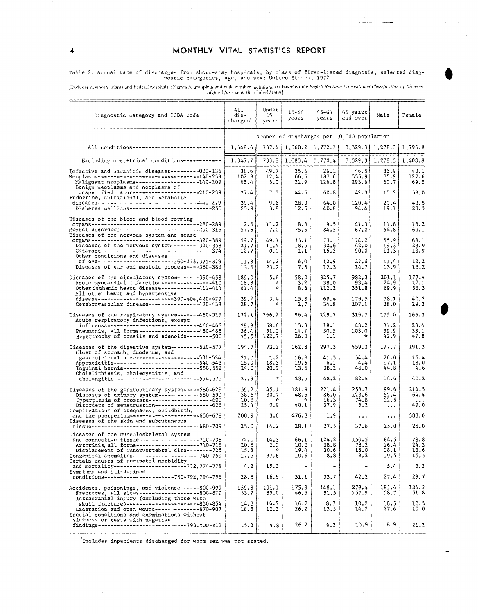Table 2. Annual rate of discharges from short-stay hospitals, by class of first-listed diagnosis, selected diag-<br>nostic categories, age, and sex: United States, 1972

[Excludes newborn infants and Federal hospitals, Diagnostic groupings and code number inclusions are based on the Eighth Revision International Classification of Diseases, Adapted for Use in the United States]

| Diagnostic category and ICDA code                                                                                                                                                                                                                                                                  | All.<br>dis-<br>charges <sup>'</sup>       | Under<br>15<br>years          | 15-44<br>years               | 45–64<br>years                | 65 years<br>and over          | Male                                                        | Female                       |  |  |
|----------------------------------------------------------------------------------------------------------------------------------------------------------------------------------------------------------------------------------------------------------------------------------------------------|--------------------------------------------|-------------------------------|------------------------------|-------------------------------|-------------------------------|-------------------------------------------------------------|------------------------------|--|--|
|                                                                                                                                                                                                                                                                                                    | Number of discharges per 10,000 population |                               |                              |                               |                               |                                                             |                              |  |  |
| All conditions-----------------------------                                                                                                                                                                                                                                                        | 1,548.6                                    |                               |                              | 737.4   1,560.2   1,772.3     |                               | $3,329.3$   1,278.3   1,796.8                               |                              |  |  |
| Excluding obstetrical conditions------------                                                                                                                                                                                                                                                       | 1,347.7                                    |                               | 733.8   1,083.4   1,770.4    |                               |                               | $3,329.3$ 1,278.3                                           | 1,408.8                      |  |  |
| Infective and parasitic diseases---------000-136<br>Neoplasms-------------------------------140-239<br>Malignant neoplasms-------------------140-209                                                                                                                                               | 38.6<br>102.8<br>$65.4$                    | 49.7<br>12.4<br>5.0           | 35.6<br>66.5<br>21.9         | 26.1<br>187.6<br>126.8        | 46.5<br>335.9<br>293.6        | 36.9<br>75.9<br>60.7                                        | 40.1<br>127.6<br>69.5        |  |  |
| Benign neoplasms and neoplasms of<br>unspecified nature---------------------210-239                                                                                                                                                                                                                | 37.4                                       | 7.3                           | 44.6                         | 60.8                          | 42.3                          | 15.2                                                        | 58.0                         |  |  |
| Endocrine, nutritional, and metabolic<br>Diabetes mellitus----------------------------250                                                                                                                                                                                                          | 39.4<br>23.9                               | 9.6<br>3.8                    | 28.0<br>12.5                 | 64.0<br>40.8                  | 120.4<br>94.4                 | 29.4<br>19.1                                                | 48.5<br>28.3                 |  |  |
| Diseases of the blood and blood-forming<br>organs-----------------------------------280-289<br>Mental disorders-------------------------290-315<br>Diseases of the nervous system and sense                                                                                                        | 12.6<br>57.6                               | 11.2<br>7.0                   | 8.3<br>75.5                  | 9.5<br>84.5                   | 41.3<br>67.2                  | 11.8<br>54.8                                                | 13.2<br>60.1                 |  |  |
| organs----------------------------------320-389<br>Diseases of the nervous system---------320-358<br>$\frac{Catarac}{}$<br>Other conditions and diseases                                                                                                                                           | 59.7<br>21.7<br>12.7                       | 49.7<br>11.4<br>0.9           | 33.1<br>18.5<br>1.1          | 73.1<br>32.6<br>15.3          | 174.2<br>42.0<br>90.0         | 55.9<br>19.3<br>11.3                                        | 63.1<br>23,9<br>13.9         |  |  |
| of eye------------------------360-373,375-379<br>Diseases of ear and mastoid process----380-389                                                                                                                                                                                                    | 11.8<br>13.6                               | 14.2<br>23.2                  | 6.0<br>7.5                   | 12.9<br>12.3                  | 27.6<br>14.7                  | 11.4<br>13.9                                                | 12.2<br>13.2                 |  |  |
| Diseases of the circulatory system-------390-458<br>Acute myocardial infarction ----------------410<br>Other ischemic heart disease -----------411-414<br>All other heart and hypertensive                                                                                                         | 189.0<br>18.3<br>61.4                      | 5.6<br>₩<br>☆                 | 58.0<br>3.2<br>8.8           | 325.7<br>38.0<br>112.2        | 982.3<br>93.4<br>351.8        | 201.1<br>24.9<br>69.9                                       | 177.4<br>12.1<br>53.3        |  |  |
| disease------------------------390-404,420-429<br>Cerebrovascular disease ----------------430-438                                                                                                                                                                                                  | 39.2<br>28.7                               | 3.4                           | 15.8<br>2.7                  | 68.4<br>34.8                  | 179.5<br>207.1                | 38.1<br>28.0                                                | 40.2<br>29.3                 |  |  |
| Diseases of the respiratory system-------460-519<br>Acute respiratory infections, except                                                                                                                                                                                                           | 172.1                                      | 266.2                         | 96.4                         | 129.7                         | 319.7                         | 179.0                                                       | 165.3                        |  |  |
| influenza----------------------------460-466<br>Pneumonia, all forms------------------480-486<br>Hypertrophy of tonsils and adenoids--------500                                                                                                                                                    | 29.8<br>36.4<br>45.5                       | 58.6<br>51.0<br>122.7         | 13.3<br>14.2<br>26.8         | 18.1<br>30.5<br>1.1           | 43.2<br>103.0<br>÷.           | 31.2<br>39.9<br>42.9                                        | 28.4<br>33.1<br>47.8         |  |  |
| Diseases of the digestive system --------- 520-577<br>Ulcer of stomach, duodenum, and                                                                                                                                                                                                              | 194.7                                      | 73.1                          | 162.8                        | 297.3                         | 459.3                         | 197.7                                                       | 191.3                        |  |  |
| gastrojejunal ulcer---------------------531-534<br>Appendicitis---------------------------540-543<br>Inguinal hernia-------------------------550.552<br>Cholelithiasis, cholecystitis, and                                                                                                         | 21.0<br>15.01<br>24.0                      | 1.2<br>18.3<br>20.9           | 16.3<br>19.6<br>13.5         | 41.5<br>6.1<br>38.2           | 54.4<br>4.4<br>48.0           | 26.0<br>17.1<br>44.8                                        | 16.4<br>13.0<br>4.6          |  |  |
| cholangitis----------------------------574,575                                                                                                                                                                                                                                                     | 27.9                                       | $\sim$                        | 23.5                         | 48.2                          | 82.4                          | 14.6                                                        | 40.2                         |  |  |
| Diseases of the genitourinary system ----- 580-629<br>Diseases of urinary system --------------580-599<br>Hyperplasia of prostate----------------------600<br>Disorders of menstruation ------------------626                                                                                      | 159.2<br>58.6<br>10.8<br>25.4              | 45.1<br>30.7<br>$\sim$<br>0.9 | 181.9<br>48.5<br>∗<br>40.1   | 221.4<br>86.0<br>16.3<br>37.9 | 253.7<br>123.6<br>74.8<br>5.2 | 99.6<br>52.4<br>22.5<br>$\bullet$ .<br><br><br><br><br><br> | 214.5<br>64.4<br>49.0        |  |  |
| Complications of pregnancy, childbirth,<br>and the puerperium---------------------630-678<br>Diseases of the skin and subcutaneous                                                                                                                                                                 | 200.9                                      | 3.6                           | 476.8                        | 1.9                           | $\cdots$                      | $\bullet$ .<br><br><br><br><br><br>                         | 388.0                        |  |  |
|                                                                                                                                                                                                                                                                                                    | 25.0                                       | 14.2                          | 28.1                         | 27.5                          | 37.6                          | 25.0                                                        | 25.0                         |  |  |
| Diseases of the musculoskeletal system<br>$--710-738$<br>and connective tissue----------------<br>Arthritis, all forms---------------------710-718<br>Displacement of intervertebral disc--------725<br>Congenital anomalies----------------------740-759<br>Certain causes of perinatal morbidity | 72.0<br>20.5<br>15.8<br>17.5               | 14.3<br>2.3<br>×<br>37.6      | 66.1<br>10.0<br>19.4<br>10.6 | 124.2<br>38.8<br>30.6<br>8.8  | 150.5<br>78.2<br>13.0<br>8.2  | 64.5<br>16.4<br>18.1<br>19.5                                | 78.8<br>24.3<br>13.6<br>15.5 |  |  |
| and mortality ------------------------772,774-778<br>Symptoms and ill-defined                                                                                                                                                                                                                      | 4.2                                        | 15.3                          |                              |                               |                               | 5.4                                                         | 3.2                          |  |  |
| conditions ----------------------780-792, 794-796                                                                                                                                                                                                                                                  | 28.8                                       | 16.9                          | 31.1                         | 33.7                          | 42.2                          | 27.4                                                        | 29.7                         |  |  |
| Accidents, poisonings, and violence ------ 800-999<br>Fractures, all sites-------------------800-829<br>Intracranial injury (excluding those with                                                                                                                                                  | 159.3<br>55.2                              | 101.1<br>35.0                 | 175.3<br>46.5                | 148.1<br>51.5                 | 279.4<br>157.9                | 185.6<br>58.7                                               | 134.3<br>51.8                |  |  |
| skull fracture)------------------------850-854<br>Laceration and open wound--------------870-907<br>Special conditions and examinations without<br>sickness or tests with negative                                                                                                                 | 14.3<br>18.5                               | 16.9<br>12.3                  | 16.2<br>26.2                 | 8.7<br>13.5                   | 10.2<br>14.2                  | 18.5<br>27.6                                                | 10.3<br>10.0                 |  |  |
| findings---------------------------793, YOO-Y13<br>and the contract component of the contract of the contract of the contract of the contract of the contract of                                                                                                                                   | 15.3                                       | 4.8                           | 26.2                         | 9.3                           | 10.9                          | 8.9                                                         | 21.2                         |  |  |

 $1$ Includes inpatients discharged for whom sex was not stated.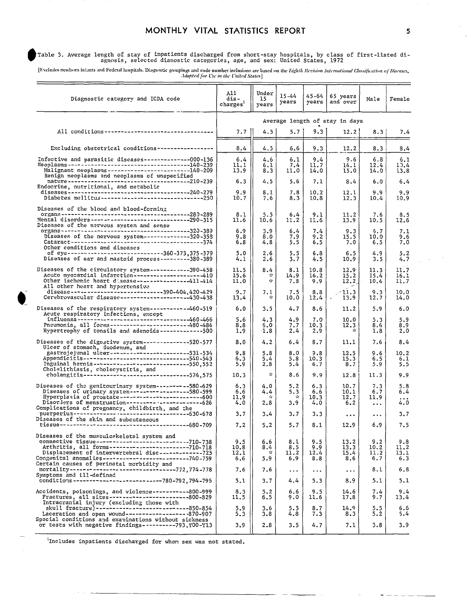#### MONTHLY VITAL STATISTICS REPORT

-Table 3. Average length of stay of inpatients discharged from short-stay hospitals, by class of first-listed di<br>agnosis, selected dianostic categories, age, and sex: United States, 1972

[Excludes newborn inlants and Federal hospitals, Diagnostic groupings and code number inclusions are based on the Eighth Revision International Classification of Diseases,

| Diagnostic category and ICDA code                                                                                                                                                                                                                                                                                    | A11<br>dis –<br>charges        | Under<br>15<br>years                             | $15 - 44$<br>years                 | 45-64<br>years            | 65 years<br>and over          | Male                           | Female                     |  |
|----------------------------------------------------------------------------------------------------------------------------------------------------------------------------------------------------------------------------------------------------------------------------------------------------------------------|--------------------------------|--------------------------------------------------|------------------------------------|---------------------------|-------------------------------|--------------------------------|----------------------------|--|
|                                                                                                                                                                                                                                                                                                                      | Average length of stay in days |                                                  |                                    |                           |                               |                                |                            |  |
| All conditions----------------------------------                                                                                                                                                                                                                                                                     | 7.7                            | 4.5                                              | 5.7                                | 9.3                       | $12.2^{\circ}$                | 8.3                            | 7.4                        |  |
| Excluding obstetrical conditions------------------                                                                                                                                                                                                                                                                   | 8.4                            | 4.5                                              | 6.6                                | 9.3                       | 12.2                          | 8.3                            | 8.4                        |  |
| Infective and parasitic diseases--------------000-136<br>Malignant neoplasms-------------------------140-209<br>Benign neoplasms and neoplasms of unspecified                                                                                                                                                        | 6.4<br>11.1<br>13.9            | 4.6<br>6.1<br>8.3                                | 6.1<br>7.4<br>11.0                 | 9.4<br>11.7<br>14.0       | 9.6<br>14. I<br>15.0          | 6.8<br>12.4<br>14.0            | 6.1<br>10.4<br>13.8        |  |
| Endocrine, nutritional, and metabolic<br>Diabetes mellitus ------ -------------------------250                                                                                                                                                                                                                       | 6.3<br>9.9<br>10.7             | 4.5<br>8.1<br>7.6                                | 5.6<br>7.8<br>8.3                  | 7.1<br>10.2<br>10.8       | 8.4<br>12.1<br>12.3           | 6.0<br>9.9<br>10.4             | 6.4<br>9.9<br>10.9         |  |
| Diseases of the blood and blood-forming<br>Mental disorders ------------------------------290-315<br>Diseases of the nervous system and sense                                                                                                                                                                        | 8.1<br>11.6<br>6.9             | 5.5<br>10.6<br>3.9                               | 6.4<br>11.2<br>6.4                 | 9.1<br>11.6<br>7.4        | 11.2<br>13.9<br>9.3           | 7.6<br>10.5<br>5.7             | 8.5<br>12.6<br>7.1         |  |
| Diseases of the nervous system--------------320-358<br>Other conditions and diseases                                                                                                                                                                                                                                 | 9.8<br>6.8                     | 8.0<br>4.8                                       | 7.9<br>5.5                         | 9.2<br>6.5                | 15.5<br>7.0                   | 10.0<br>6.5                    | 9.6<br>7.0                 |  |
| of eye---------------------------360-373,375-379<br>Diseases of ear and mastoid process---------380-389                                                                                                                                                                                                              | 5.0<br>4.1                     | 2.6<br>2.6                                       | 5.5<br>3.7                         | 6.8<br>4.5                | 6.5<br>10.9                   | 4.9<br>3.5                     | 5.2<br>4.7                 |  |
| Diseases of the circulatory system------------390-458<br>Acute myocardial infarction---------------------410<br>Other ischemic heart disease----------------411-414<br>All other heart and hypertensive                                                                                                              | 11.5<br>15.6<br>11.0           | 8.4<br>$\sim$<br>÷.                              | 8.1<br>14.9<br>7.8                 | 10.8<br>16.2<br>9.9       | 12.9<br>15.2<br>12.2          | 11.3<br>15.4<br>10.4           | 11.7<br>16.1<br>11.7       |  |
| disease----------------------------390-404,420-429<br>Cerebrovascular disease ---------------------430-438                                                                                                                                                                                                           | 9.7<br>13.4                    | 7.1<br>$\sim$                                    | 7.5<br>10.0                        | 8.8<br>12.4               | $-11.3$<br>13.9               | 9.3<br>12.7                    | 10.0<br>14.0               |  |
| Diseases of the respiratory system-----------460-519<br>Acute respiratory infections, except                                                                                                                                                                                                                         | 6.0                            | 3.5                                              | 4.7                                | 8.6                       | 11.2                          | 5.9                            | 6.0                        |  |
| influenza --------------------------------460-466<br>Pneumonia, all forms----------------------480-486<br>Hypertrophy of tonsils and adenoids -------------500                                                                                                                                                       | 5.6<br>8.8<br>1.9              | 4.3<br>5.0<br><b>1.8</b>                         | 4.9<br>7.7<br>2.4                  | 7.0<br>10.3<br>2.9        | 10.0<br>12.3<br>$\mathcal{L}$ | 5.3<br>8.6<br>1.8              | 5.9<br>8.9<br>2.0          |  |
| Diseases of the digestive system --------------520-577<br>Ulcer of stomach, duodenum, and                                                                                                                                                                                                                            | 8.0                            | 4.2                                              | 6.4                                | 8.7                       | 11.1                          | 7.6                            | 8.4                        |  |
| gastrojejunal ulcer-------------------------531-534<br>Appendicitis-----------------------------540-543<br>Inguinal hernia-----------------------------550.552<br>Cholelithiasis, cholecystitis, and                                                                                                                 | 9.8<br>6,3<br>5.9              | 5.8<br>5.4<br>2.8                                | 8.0<br>5.8<br>5.4                  | 9.8<br>10.3<br>6.7        | 12.5<br>15.3<br>8.7           | 9.6<br>6.5<br>5.9              | 10.2<br>6.1<br>5.5         |  |
| cholangitis--------------------------------574,575                                                                                                                                                                                                                                                                   | 10.3                           | $\sim$                                           | 8.6                                | 9.9                       | 12.8                          | 11.3                           | 9.9                        |  |
| Diseases of the genitourinary system---------580-629<br>Diseases of urinary system------------------580-599<br>Hyperplasia of prostate------------------------600<br>Disorlers of menstruation------------------------626                                                                                            | 6.3<br>6.6<br>11.9<br>4.0      | 4.0<br>4.4<br>12<br>2.8                          | 5.2<br>5.3<br>$\mathcal{L}$<br>3.9 | 6.3<br>6.6<br>10.3<br>4.0 | 10.7<br>10.1<br>12.7<br>6.2   | 7.3<br>6.7<br>11.9<br>$\cdots$ | 5.8<br>6.4<br>4.O          |  |
| Complications of pregnancy, childbirth, and the<br>puerperium---------------------------------630-678<br>Diseases of the skin and subcutaneous                                                                                                                                                                       | 3.7                            | 3.4                                              | 3.7                                | 3.3                       | $\cdots$                      | $\bullet$ $\bullet$ $\bullet$  | 3.7                        |  |
|                                                                                                                                                                                                                                                                                                                      | 7.2                            | 5.2                                              | 5.7                                | 8.1                       | 12.9                          | 6.9                            | 7.5                        |  |
| Diseases of the musculoskeletal system and<br>connective tissue---------------------------710-738<br>Arthritis, all forms-----------------------710-718<br>Displacement of intervertebral disc-------------725<br>Congenital anomalies--------------------------740-759<br>Certain causes of perinatal morbidity and | 9.5<br>10.8<br>12.1<br>6.6     | 6.6<br>8.4<br>$\mathcal{L}_{\mathcal{R}}$<br>5.9 | 8.1<br>8.5<br>11.2<br>6.9          | 9.5<br>9.9<br>12.4<br>8.8 | 13.2<br>13.3<br>15.4<br>8.6   | 9.2<br>10.2<br>11.2<br>6.7     | 9.8<br>11.2<br>13.1<br>6.3 |  |
| mortality-------------------------------772,774-778<br>Symptoms and ill-defined                                                                                                                                                                                                                                      | 7.6                            | 7.6                                              | $\cdots$                           | $\ddotsc$                 | $\cdots$                      | 8.1                            | 6.8                        |  |
| conditions --------------------------780-792,794-795                                                                                                                                                                                                                                                                 | 5.1                            | 3.7                                              | 4.4                                | 5.3<br>9.5                | 8.9                           | 5.1                            | 5.1<br>9.4                 |  |
| Accidents, poisonings, and violence-----------800-999<br>Fractures, all sites-------------------------800-829<br>Intracranial injury (excluding those with                                                                                                                                                           | 8.3<br>11.5                    | 5.2<br>6.5                                       | 6.6<br>9.0                         | 11.6                      | 14.6<br>17.8                  | 7.4<br>9.7                     | 13.4                       |  |
| skull fracture)----------------------------850-854<br>Laceration and open wound-------------------370-907<br>Special conditions and examinations without sickness                                                                                                                                                    | 5.9<br>5.3                     | 3.6<br>3.8                                       | 5.5<br>4.8                         | 8.7<br>7.3                | 14.9<br>8.3                   | 5.5<br>5.2                     | 6.6<br>5.4                 |  |
| or tests with negative findings----------793, YOO-Y13                                                                                                                                                                                                                                                                | 3.9                            | 2.8                                              | 3.5                                | 4.7                       | 7.1                           | 3.8                            | 3.9                        |  |

<sup>1</sup>Includes inpatients discharged for whom sex was not stated.

5

 $\frac{1}{2\pi}$  , where  $\frac{1}{2}$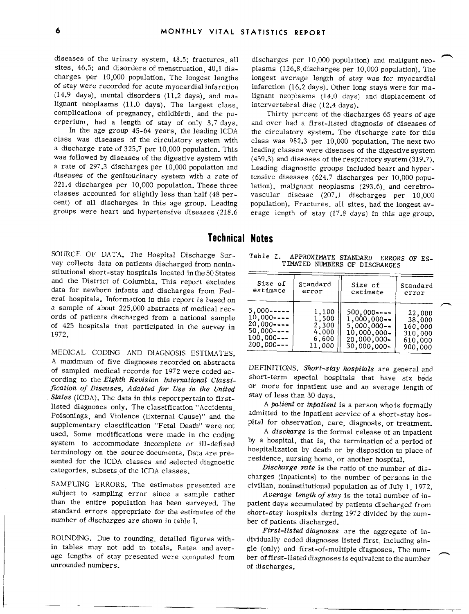diseases of the urinary system, 48.5; fractures, all sites, 46.5; and disorders of menstruation, 40.1 dis-<br>charges per 10,000 population. The longest lengths charges per 10,000 population. The longest lengths longest average length of stay was for myocardial of stay were recorded for acute myocardial infarction (14.9 days), mental disorders (11.2 days), and ma-(14.9 days), mental disorders (11.2 days), and ma- lignant neoplasms (14.0 days) and displacement of lignant neoplasms  $(11.0 \text{ days})$ . The largest class, complications of pregnancy, childbirth, and the pu-

In the age group 45-64 years, the leading ICDA the circulatory system. The discharge rate for this class was diseases of the circulatory system with class was 982.3 per 10,000 population. The next two class was diseases of the circulatory system with class was 982.3 per 10,000 population. The next two was followed by diseases of the digestive system with (459.3) and diseases of the respiratory system (319.7).<br>a rate of 297.3 discharges per 10,000 population and Leading diagnostic groups included heart and hypera rate of 297.3 discharges per 10,000 population and Leading diagnostic groups included heart and hyper-<br>diseases of the genitourinary system with a rate of tensive diseases (624.7 discharges per 10.000 popudiseases of the genitourinary system with a rate of tensive diseases (624.7 discharges per 10,000 popu-<br>221.4 discharges per 10,000 population. These three lation) malignant neoplasms (293.6) and cerebro-221.4 discharges per 10,000 population. These three lation), malignant neoplasms  $(293.6)$ , and cerebro-<br>classes accounted for slightly less than half  $(48 \text{ per} - \text{vascular}$  disease  $(207.1 \text{ discharges}$  per 10,000 classes accounted for slightly less than half (48 per-<br>cent) of all discharges in this age group. Leading population). Fractures all sites had the longest ay-

discharges per 10,000 population) and maligant neoplasms (126.8 discharges per 10,000 population). The infarction (16.2 days). Other long stays were for maintervertebral disc (12.4 days).

complications of pregnancy, childbirth, and the pu-<br>erperium, had a length of stay of only 3.7 days, and over had a first-listed diagnosis of diseases of erperium, had a length of stay of only 3.7 days. and over had a first-listed diagnosis of diseases of leading classes were diseases of the digestive system. cent) of all discharges in this age group. Leading population). Fractures, all sites, had the longest av-<br>groups were heart and hypertensive diseases (218.6 erage length of stay (17.8 days) in this age group. erage length of stay (17.8 days) in this age group.

### Technical Notes

SOURCE OF DATA. The Hospital Discharge Sur- Table I. APPROXIMATE STANDARD ERRORS OF ES-<br>vey collects data on patients discharged from nonin- TIMATED NUMBERS OF DISCHARGES vey collects data on patients discharged from noninstitutional short-stay hospitals located inthe50 States and the District of Columbia. This report excludes data for newborn infants and discharges from Federal hospitals. Information in this report is basedon a sample of about 225,000 abstracts of medical records of patients discharged from a national sample of 425 hospitals that participated in the survey in 1972.

MEDICAL CODING AND DIAGNOSIS ESTIMATES. A maximum of five diagnoses recorded on abstracts of sampled medical records for 1972 were coded ac- DEFINITIONS. *Short-stay hospitals are* general and cording to the *Eighth Revision International Classification of Diseases, Adapted for Use in the United* States (ICDA). The data in this report pertain to firstlisted diagnoses only. The classification "Accidents, Poisonings, and Violence (External Cause)" and the supplementary classification "Fetal Death" were not used. Some modifications were made in the coding system to accommodate incomplete or ill-defined terminology on the source documents. Data are presented for the ICDA classes and selected diagnostic

subject to sampling error since a sample rather *Average length of stay* is the total number of in-<br>than the entire population has been surveyed. The patient days accumulated by patients discharged from than the entire population has been surveyed. The patient days accumulated by patients discharged from<br>standard errors appropriate for the estimates of the short-stay hospitals during 1972 divided by the numnumber of discharges are shown in table I. ber of patients discharged.

in tables may not add to totals. Rates and aver- gle (only) and first-of-multiple diagnoses. The num-<br>age lengths of stay presented were computed from ber offirst-listed diagnoses is equivalent to the number unrounded numbers.  $\qquad \qquad$  of discharges.

| stitutional short-stay hospitals located in the 50 States                                                                                                                                        |                                                                                                   |                                                     |                                                                                                   |                                                              |  |  |  |
|--------------------------------------------------------------------------------------------------------------------------------------------------------------------------------------------------|---------------------------------------------------------------------------------------------------|-----------------------------------------------------|---------------------------------------------------------------------------------------------------|--------------------------------------------------------------|--|--|--|
| and the District of Columbia. This report excludes<br>data for newborn infants and discharges from Fed-<br>eral hospitals. Information in this report is based on                                | Size of<br>estimate                                                                               | Standard<br>error                                   | Size of<br>estimate                                                                               | Standard<br>error                                            |  |  |  |
| a sample of about 225,000 abstracts of medical rec-<br>ords of patients discharged from a national sample<br>of 425 hospitals that participated in the survey in<br>1972.<br>$\lambda$<br>$\sim$ | $5.000 - - - -$<br>$10,000$ ----<br>$20.000 - - -$<br>$50,000$ ----<br>$100,000--$<br>$200,000--$ | 1,100<br>1,500<br>2,300<br>4,000<br>6,600<br>11,000 | $500.000---$<br>$1,000,000 -$<br>$5,000,000 -$<br>$10,000,000 -$<br>20,000,000-<br>$30,000,000 -$ | 22,000<br>38,000<br>160,000<br>310,000<br>610,000<br>900,000 |  |  |  |
|                                                                                                                                                                                                  |                                                                                                   |                                                     |                                                                                                   |                                                              |  |  |  |

short-term special hospitals that have six beds or more for inpatient use and an average length of stay of less than 30 days.

A patient or inpatient is a person who is formally admitted to the inpatient service of a short-stay hospital for observation, care, diagnosis, or treatment.

A discharge is the formal release of an inpatient by a hospital, that is, the termination of a period of hospitalization by death or by disposition to place of residence, nursing home, or another hospital.

categories, subsets of the ICDA classes. *Dischavge rate* is the ratio of the number of dis charges (inpatients) to the number of persons in the SAMPLING ERRORS. The estimates presented are civilian, noninstitutional population as of July 1, 1972.

short-stay hospitals during 1972 divided by the num-

*First-listed dia~oses* are the aggregate of in-ROUNDING. Due to rounding, detailed figures with-<br>in tables may not add to totals. Rates and aver-<br>gle (only) and first-of-multiple diagnoses. The number of first-listed diagnoses is equivalent to the number